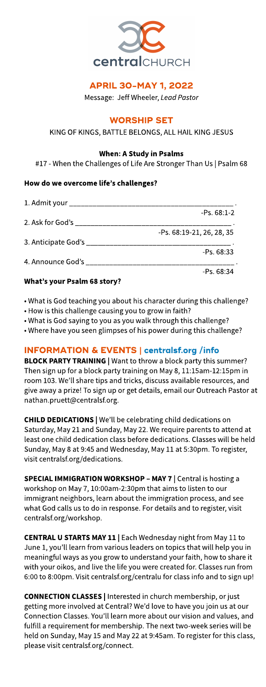

# **APRIL 30-MAY 1, 2022**

Message: Jeff Wheeler, **LeadPastor**

# **WORSHIP SET**

## KING OF KINGS, BATTLE BELONGS, ALL HAIL KING JESUS

#### When: AStudy in Psalms

#17 - When the Challenges of Life Are Stronger Than Us | Psalm 68

#### How do we overcome life?s challenges?

| 1. Admit your __________________________________                                                              |                           |
|---------------------------------------------------------------------------------------------------------------|---------------------------|
|                                                                                                               | $-Ps. 68:1-2$             |
| 2. Ask for God's carried and the set of the set of the set of the set of the set of the set of the set of the |                           |
|                                                                                                               | -Ps. 68:19-21. 26. 28. 35 |
|                                                                                                               |                           |
|                                                                                                               | $-Ps.68:33$               |
| 4. Announce God's                                                                                             |                           |
|                                                                                                               | $-PS.68:34$               |

## What?s your Psalm 68 story?

- What is God teaching you about his character during this challenge?
- How is this challenge causing you to grow in faith?
- What is God saying to you as you walk through this challenge?
- Where have you seen glimpses of his power during this challenge?

# INFORMATION& EVENTS| **[centralsf.org/info](http://centralsf.org/info)**

BLOCK PARTY TRAINING | Want to throw a block party this summer? Then sign up for a block party training on May 8, 11:15am-12:15pm in room 103. We'll share tips and tricks, discuss available resources, and give away a prize! To sign up or get details, email our Outreach Pastor at nathan.pruett@centralsf.org.

**CHILD DEDICATIONS | We'll be celebrating child dedications on** Saturday, May 21 and Sunday, May 22. We require parents to attend at least one child dedication class before dedications. Classes will be held Sunday, May 8 at 9:45 and Wednesday, May 11 at 5:30pm. To register, visit centralsf.org/dedications.

SPECIAL IMMIGRATION WORKSHOP - MAY 7 | Central is hosting a workshop on May 7, 10:00am-2:30pm that aimsto listen to our immigrant neighbors, learn about the immigration process, and see what God calls us to do in response. For details and to register, visit centralsf.org/workshop.

CENTRAL U STARTS MAY 11 | Each Wednesday night from May 11 to June 1, you'll learn from various leaders on topics that will help you in meaningful ways as you grow to understand your faith, how to share it with your oikos, and live the life you were created for. Classes run from 6:00 to 8:00pm. Visit centralsf.org/centralu for classinfo and to sign up!

CONNECTION CLASSES| Interested in church membership, or just getting more involved at Central? We'd love to have you join us at our Connection Classes.You?ll learn moreabout our vision and values, and fulfill a requirement for membership. The next two-week series will be held on Sunday, May 15 and May 22 at 9:45am. To register for this class, please visit centralsf.org/connect.